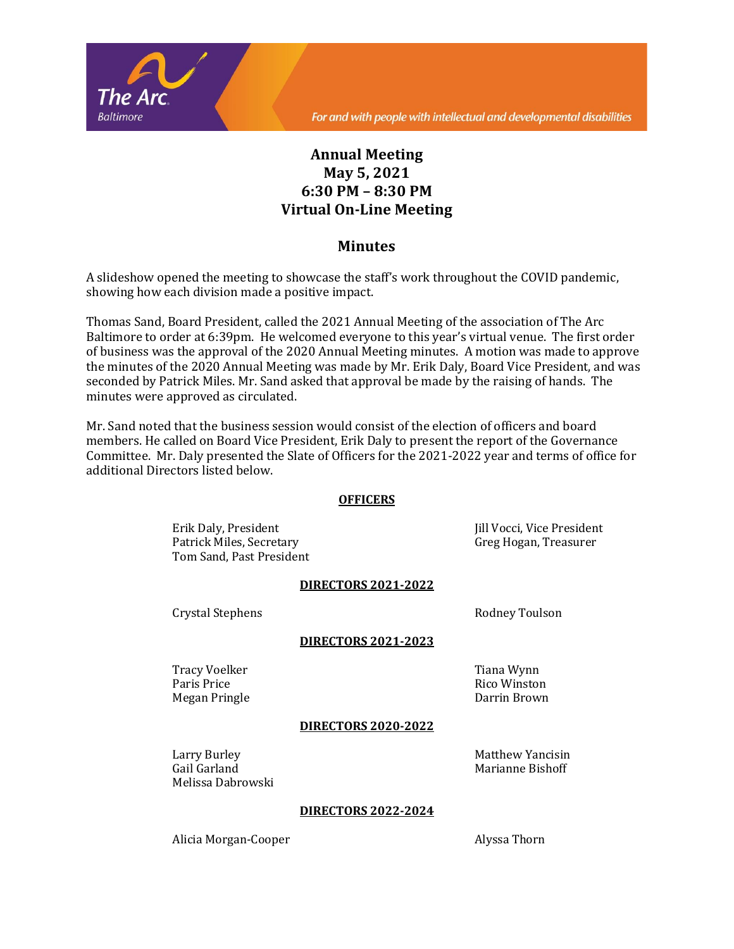

For and with people with intellectual and developmental disabilities

# **Annual Meeting May 5, 2021 6:30 PM – 8:30 PM Virtual On-Line Meeting**

# **Minutes**

A slideshow opened the meeting to showcase the staff's work throughout the COVID pandemic, showing how each division made a positive impact.

Thomas Sand, Board President, called the 2021 Annual Meeting of the association of The Arc Baltimore to order at 6:39pm. He welcomed everyone to this year's virtual venue. The first order of business was the approval of the 2020 Annual Meeting minutes. A motion was made to approve the minutes of the 2020 Annual Meeting was made by Mr. Erik Daly, Board Vice President, and was seconded by Patrick Miles. Mr. Sand asked that approval be made by the raising of hands. The minutes were approved as circulated.

Mr. Sand noted that the business session would consist of the election of officers and board members. He called on Board Vice President, Erik Daly to present the report of the Governance Committee. Mr. Daly presented the Slate of Officers for the 2021-2022 year and terms of office for additional Directors listed below.

## **OFFICERS**

Erik Daly, President Jill Vocci, Vice President Patrick Miles, Secretary The Control of Greg Hogan, Treasurer Tom Sand, Past President

## **DIRECTORS 2021-2022**

Crystal Stephens **Rodney Toulson** 

#### **DIRECTORS 2021-2023**

Tracy Voelker Tracy Voelker Tiana Wynn Paris Price **Rico Winston** Megan Pringle **Darrin Brown** 

#### **DIRECTORS 2020-2022**

Larry Burley **Matthew Yancisin** Gail Garland Marianne Bishoff Melissa Dabrowski

#### **DIRECTORS 2022-2024**

Alicia Morgan-Cooper **Alyssa Thorn**